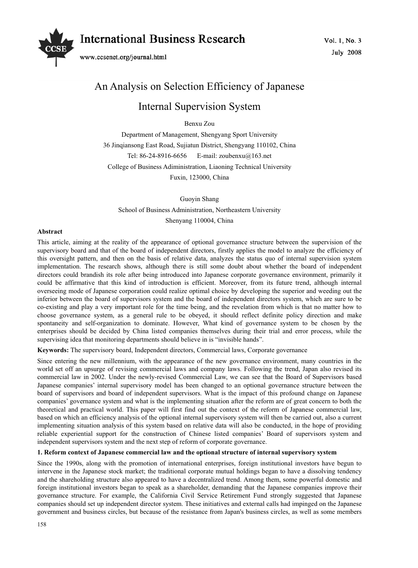# **International Business Research** www.ccsenet.org/journal.html

# An Analysis on Selection Efficiency of Japanese

# Internal Supervision System

Benxu Zou

Department of Management, Shengyang Sport University 36 Jinqiansong East Road, Sujiatun District, Shengyang 110102, China Tel: 86-24-8916-6656 E-mail: zoubenxu@163.net College of Business Adiministration, Liaoning Technical University Fuxin, 123000, China

Guoyin Shang

School of Business Administration, Northeastern University

Shenyang 110004, China

## **Abstract**

This article, aiming at the reality of the appearance of optional governance structure between the supervision of the supervisory board and that of the board of independent directors, firstly applies the model to analyze the efficiency of this oversight pattern, and then on the basis of relative data, analyzes the status quo of internal supervision system implementation. The research shows, although there is still some doubt about whether the board of independent directors could brandish its role after being introduced into Japanese corporate governance environment, primarily it could be affirmative that this kind of introduction is efficient. Moreover, from its future trend, although internal overseeing mode of Japanese corporation could realize optimal choice by developing the superior and weeding out the inferior between the board of supervisors system and the board of independent directors system, which are sure to be co-existing and play a very important role for the time being, and the revelation from which is that no matter how to choose governance system, as a general rule to be obeyed, it should reflect definite policy direction and make spontaneity and self-organization to dominate. However, What kind of governance system to be chosen by the enterprises should be decided by China listed companies themselves during their trial and error process, while the supervising idea that monitoring departments should believe in is "invisible hands".

**Keywords:** The supervisory board, Independent directors, Commercial laws, Corporate governance

Since entering the new millennium, with the appearance of the new governance environment, many countries in the world set off an upsurge of revising commercial laws and company laws. Following the trend, Japan also revised its commercial law in 2002. Under the newly-revised Commercial Law, we can see that the Board of Supervisors based Japanese companies' internal supervisory model has been changed to an optional governance structure between the board of supervisors and board of independent supervisors. What is the impact of this profound change on Japanese companies' governance system and what is the implementing situation after the reform are of great concern to both the theoretical and practical world. This paper will first find out the context of the reform of Japanese commercial law, based on which an efficiency analysis of the optional internal supervisory system will then be carried out, also a current implementing situation analysis of this system based on relative data will also be conducted, in the hope of providing reliable experiential support for the construction of Chinese listed companies' Board of supervisors system and independent supervisors system and the next step of reform of corporate governance.

# **1. Reform context of Japanese commercial law and the optional structure of internal supervisory system**

Since the 1990s, along with the promotion of international enterprises, foreign institutional investors have begun to intervene in the Japanese stock market; the traditional corporate mutual holdings began to have a dissolving tendency and the shareholding structure also appeared to have a decentralized trend. Among them, some powerful domestic and foreign institutional investors began to speak as a shareholder, demanding that the Japanese companies improve their governance structure. For example, the California Civil Service Retirement Fund strongly suggested that Japanese companies should set up independent director system. These initiatives and external calls had impinged on the Japanese government and business circles, but because of the resistance from Japan's business circles, as well as some members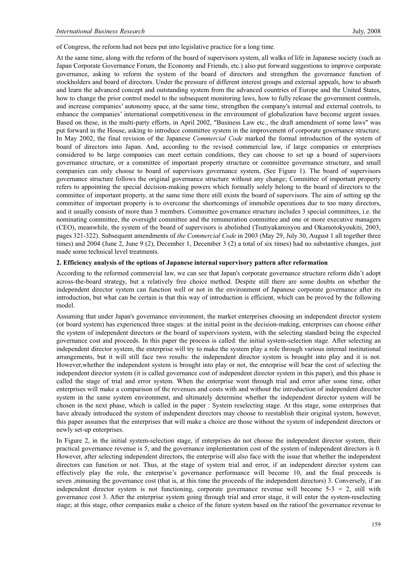of Congress, the reform had not been put into legislative practice for a long time.

At the same time, along with the reform of the board of supervisors system, all walks of life in Japanese society (such as Japan Corporate Governance Forum, the Economy and Friends, etc.) also put forward suggestions to improve corporate governance, asking to reform the system of the board of directors and strengthen the governance function of stockholders and board of directors. Under the pressure of different interest groups and external appeals, how to absorb and learn the advanced concept and outstanding system from the advanced countries of Europe and the United States, how to change the prior control model to the subsequent monitoring laws, how to fully release the government controls, and increase companies' autonomy space, at the same time, strengthen the company's internal and external controls, to enhance the companies' international competitiveness in the environment of globalization have become urgent issues. Based on these, in the multi-party efforts, in April 2002, "Business Law etc., the draft amendment of some laws" was put forward in the House, asking to introduce committee system in the improvement of corporate governance structure. In May 2002, the final revision of the Japanese *Commercial Code* marked the formal introduction of the system of board of directors into Japan. And, according to the revised commercial law, if large companies or enterprises considered to be large companies can meet certain conditions, they can choose to set up a board of supervisors governance structure, or a committee of important property structure or committee governance structure, and small companies can only choose to board of supervisors governance system, (See Figure 1). The board of supervisors governance structure follows the original governance structure without any change; Committee of important property refers to appointing the special decision-making powers which formally solely belong to the board of directors to the committee of important property, at the same time there still exists the board of supervisors. The aim of setting up the committee of important property is to overcome the shortcomings of immobile operations due to too many directors, and it usually consists of more than 3 members. Committee governance structure includes 3 special committees, i.e. the nominating committee, the oversight committee and the remuneration committee and one or more executive managers (CEO), meanwhile, the system of the board of supervisors is abolished (Tsutiyakamisyou and Okamotokyoukiti, 2003, pages 321-322). Subsequent amendments of *the Commercial Code* in 2003 (May 29, July 30, August 1 all together three times) and 2004 (June 2, June 9 (2), December 1, December 3 (2) a total of six times) had no substantive changes, just made some technical level treatments.

#### **2. Efficiency analysis of the options of Japanese internal supervisory pattern after reformation**

According to the reformed commercial law, we can see that Japan's corporate governance structure reform didn't adopt across-the-board strategy, but a relatively free choice method. Despite still there are some doubts on whether the independent director system can function well or not in the environment of Japanese corporate governance after its introduction, but what can be certain is that this way of introduction is efficient, which can be proved by the following model.

Assuming that under Japan's governance environment, the market enterprises choosing an independent director system (or board system) has experienced three stages: at the initial point in the decision-making, enterprises can choose either the system of independent directors or the board of supervisors system, with the selecting standard being the expected governance cost and proceeds. In this paper the process is called: the initial system-selection stage. After selecting an independent director system, the enterprise will try to make the system play a role through various internal institutional arrangements, but it will still face two results: the independent director system is brought into play and it is not. However,whether the independent system is brought into play or not, the enterprise will bear the cost of selecting the independent director system (it is called governance cost of independent director system in this paper), and this phase is called the stage of trial and error system. When the enterprise went through trial and error after some time, other enterprises will make a comparison of the revenues and costs with and without the introduction of independent director system in the same system environment, and ultimately determine whether the independent director system will be chosen in the next phase, which is called in the paper : System reselecting stage. At this stage, some enterprises that have already introduced the system of independent directors may choose to reestablish their original system, however, this paper assumes that the enterprises that will make a choice are those without the system of independent directors or newly set-up enterprises.

In Figure 2, in the initial system-selection stage, if enterprises do not choose the independent director system, their practical governance revenue is 5, and the governance implementation cost of the system of independent directors is 0. However, after selecting independent directors, the enterprise will also face with the issue that whether the independent directors can function or not. Thus, at the stage of system trial and error, if an independent director system can effectively play the role, the enterprise's governance performance will become 10, and the final proceeds is seven ,minusing the governance cost (that is, at this time the proceeds of the independent directors) 3. Conversely, if an independent director system is not functioning, corporate governance revenue will become  $5-3 = 2$ , still with governance cost 3. After the enterprise system going through trial and error stage, it will enter the system-reselecting stage; at this stage, other companies make a choice of the future system based on the ratioof the governance revenue to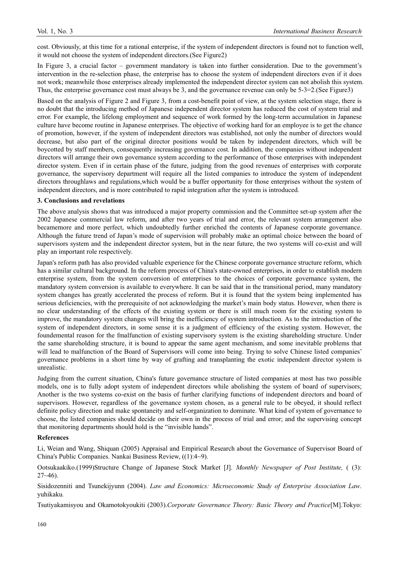cost. Obviously, at this time for a rational enterprise, if the system of independent directors is found not to function well, it would not choose the system of independent directors.(See Figure2)

In Figure 3, a crucial factor – government mandatory is taken into further consideration. Due to the government's intervention in the re-selection phase, the enterprise has to choose the system of independent directors even if it does not work; meanwhile those enterprises already implemented the independent director system can not abolish this system. Thus, the enterprise governance cost must always be 3, and the governance revenue can only be 5-3=2.(See Figure3)

Based on the analysis of Figure 2 and Figure 3, from a cost-benefit point of view, at the system selection stage, there is no doubt that the introducing method of Japanese independent director system has reduced the cost of system trial and error. For example, the lifelong employment and sequence of work formed by the long-term accumulation in Japanese culture have become routine in Japanese enterprises. The objective of working hard for an employee is to get the chance of promotion, however, if the system of independent directors was established, not only the number of directors would decrease, but also part of the original director positions would be taken by independent directors, which will be boycotted by staff members, consequently increasing governance cost. In addition, the companies without independent directors will arrange their own governance system according to the performance of those enterprises with independent director system. Even if in certain phase of the future, judging from the good revenues of enterprises with corporate governance, the supervisory department will require all the listed companies to introduce the system of independent directors throughlaws and regulations,which would be a buffer opportunity for those enterprises without the system of independent directors, and is more contributed to rapid integration after the system is introduced.

#### **3. Conclusions and revelations**

The above analysis shows that was introduced a major property commission and the Committee set-up system after the 2002 Japanese commercial law reform, and after two years of trial and error, the relevant system arrangement also becamemore and more perfect, which undoubtedly further enriched the contents of Japanese corporate governance. Although the future trend of Japan's mode of supervision will probably make an optimal choice between the board of supervisors system and the independent director system, but in the near future, the two systems will co-exist and will play an important role respectively.

Japan's reform path has also provided valuable experience for the Chinese corporate governance structure reform, which has a similar cultural background. In the reform process of China's state-owned enterprises, in order to establish modern enterprise system, from the system conversion of enterprises to the choices of corporate governance system, the mandatory system conversion is available to everywhere. It can be said that in the transitional period, many mandatory system changes has greatly accelerated the process of reform. But it is found that the system being implemented has serious deficiencies, with the prerequisite of not acknowledging the market's main body status. However, when there is no clear understanding of the effects of the existing system or there is still much room for the existing system to improve, the mandatory system changes will bring the inefficiency of system introduction. As to the introduction of the system of independent directors, in some sense it is a judgment of efficiency of the existing system. However, the foundemental reason for the fmalfunction of existing supervisory system is the existing shareholding structure. Under the same shareholding structure, it is bound to appear the same agent mechanism, and some inevitable problems that will lead to malfunction of the Board of Supervisors will come into being. Trying to solve Chinese listed companies' governance problems in a short time by way of grafting and transplanting the exotic independent director system is unrealistic.

Judging from the current situation, China's future governance structure of listed companies at most has two possible models, one is to fully adopt system of independent directors while abolishing the system of board of supervisors; Another is the two systems co-exist on the basis of further clarifying functions of independent directors and board of supervisors. However, regardless of the governance system chosen, as a general rule to be obeyed, it should reflect definite policy direction and make spontaneity and self-organization to dominate. What kind of system of governance to choose, the listed companies should decide on their own in the process of trial and error; and the supervising concept that monitoring departments should hold is the "invisible hands".

## **References**

Li, Weian and Wang, Shiquan (2005) Appraisal and Empirical Research about the Governance of Supervisor Board of China's Public Companies. Nankai Business Review, ((1):4~9).

Ootsukaakiko.(1999)Structure Change of Japanese Stock Market [J]. *Monthly Newspaper of Post Institute,* ( (3):  $27 - 46$ ).

Sisidozenniti and Tsunekijyunn (2004). *Law and Economics: Microeconomic Study of Enterprise Association Law*. yuhikaku*.*

Tsutiyakamisyou and Okamotokyoukiti (2003).*Corporate Governance Theory: Basic Theory and Practice*[M].Tokyo: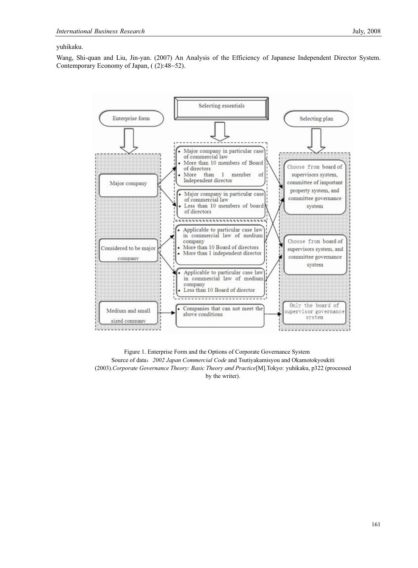## yuhikaku.

Wang, Shi-quan and Liu, Jin-yan. (2007) An Analysis of the Efficiency of Japanese Independent Director System. Contemporary Economy of Japan, ( (2):48~52).



Figure 1. Enterprise Form and the Options of Corporate Governance System Source of data: 2002 Japan Commercial Code and Tsutiyakamisyou and Okamotokyoukiti (2003).*Corporate Governance Theory: Basic Theory and Practice*[M].Tokyo: yuhikaku, p322 (processed by the writer).